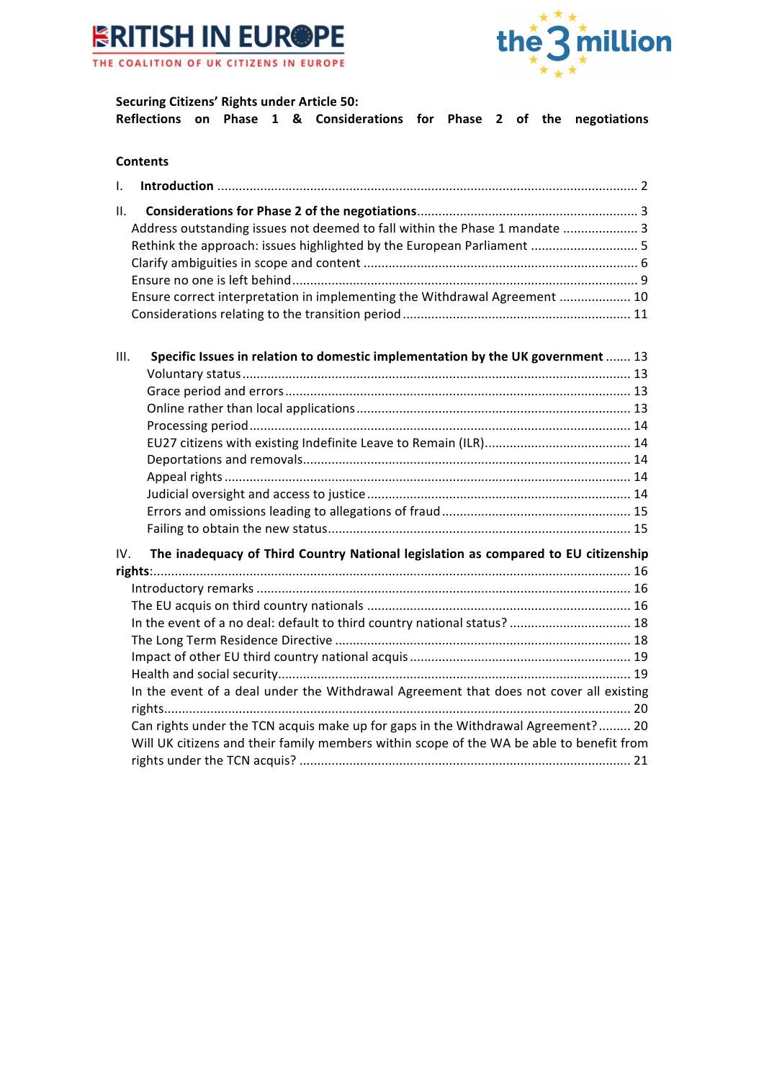



## **Securing Citizens' Rights under Article 50:**

**Reflections on Phase 1 & Considerations for Phase 2 of the negotiations**

| <b>Contents</b> |
|-----------------|
|-----------------|

| $\mathbf{L}$                                                                             |                                                                                                                                                                                                                                     |  |
|------------------------------------------------------------------------------------------|-------------------------------------------------------------------------------------------------------------------------------------------------------------------------------------------------------------------------------------|--|
| II.                                                                                      | Address outstanding issues not deemed to fall within the Phase 1 mandate  3<br>Rethink the approach: issues highlighted by the European Parliament  5<br>Ensure correct interpretation in implementing the Withdrawal Agreement  10 |  |
| Ш.                                                                                       | Specific Issues in relation to domestic implementation by the UK government  13                                                                                                                                                     |  |
|                                                                                          |                                                                                                                                                                                                                                     |  |
|                                                                                          |                                                                                                                                                                                                                                     |  |
|                                                                                          |                                                                                                                                                                                                                                     |  |
|                                                                                          |                                                                                                                                                                                                                                     |  |
|                                                                                          |                                                                                                                                                                                                                                     |  |
|                                                                                          |                                                                                                                                                                                                                                     |  |
|                                                                                          |                                                                                                                                                                                                                                     |  |
|                                                                                          |                                                                                                                                                                                                                                     |  |
|                                                                                          |                                                                                                                                                                                                                                     |  |
|                                                                                          |                                                                                                                                                                                                                                     |  |
| IV.                                                                                      | The inadequacy of Third Country National legislation as compared to EU citizenship                                                                                                                                                  |  |
|                                                                                          |                                                                                                                                                                                                                                     |  |
|                                                                                          |                                                                                                                                                                                                                                     |  |
|                                                                                          |                                                                                                                                                                                                                                     |  |
|                                                                                          | In the event of a no deal: default to third country national status?  18                                                                                                                                                            |  |
|                                                                                          |                                                                                                                                                                                                                                     |  |
|                                                                                          |                                                                                                                                                                                                                                     |  |
|                                                                                          | In the event of a deal under the Withdrawal Agreement that does not cover all existing                                                                                                                                              |  |
|                                                                                          |                                                                                                                                                                                                                                     |  |
|                                                                                          | Can rights under the TCN acquis make up for gaps in the Withdrawal Agreement? 20                                                                                                                                                    |  |
| Will UK citizens and their family members within scope of the WA be able to benefit from |                                                                                                                                                                                                                                     |  |
|                                                                                          |                                                                                                                                                                                                                                     |  |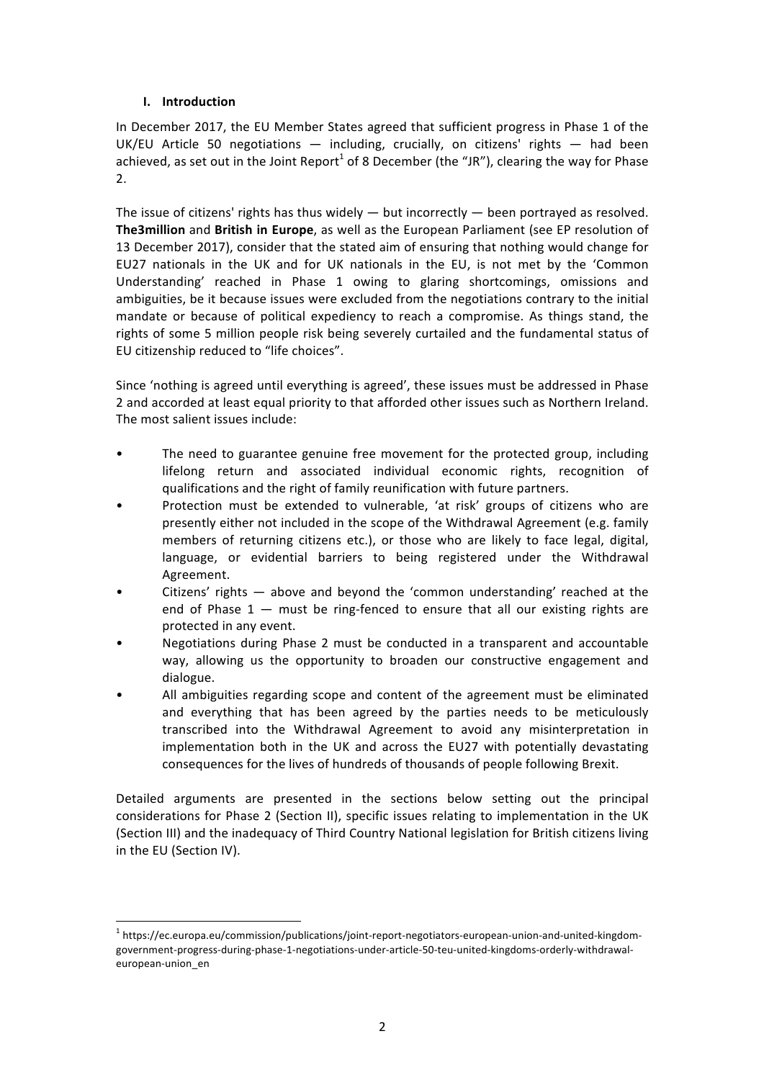## **I. Introduction**

In December 2017, the EU Member States agreed that sufficient progress in Phase 1 of the UK/EU Article 50 negotiations — including, crucially, on citizens' rights — had been achieved, as set out in the Joint Report<sup>1</sup> of 8 December (the "JR"), clearing the way for Phase  $2<sub>1</sub>$ 

The issue of citizens' rights has thus widely — but incorrectly — been portrayed as resolved. **The3million** and **British in Europe**, as well as the European Parliament (see EP resolution of 13 December 2017), consider that the stated aim of ensuring that nothing would change for EU27 nationals in the UK and for UK nationals in the EU, is not met by the 'Common Understanding' reached in Phase 1 owing to glaring shortcomings, omissions and ambiguities, be it because issues were excluded from the negotiations contrary to the initial mandate or because of political expediency to reach a compromise. As things stand, the rights of some 5 million people risk being severely curtailed and the fundamental status of EU citizenship reduced to "life choices".

Since 'nothing is agreed until everything is agreed', these issues must be addressed in Phase 2 and accorded at least equal priority to that afforded other issues such as Northern Ireland. The most salient issues include:

- The need to guarantee genuine free movement for the protected group, including lifelong return and associated individual economic rights, recognition of qualifications and the right of family reunification with future partners.
- Protection must be extended to vulnerable, 'at risk' groups of citizens who are presently either not included in the scope of the Withdrawal Agreement (e.g. family members of returning citizens etc.), or those who are likely to face legal, digital, language, or evidential barriers to being registered under the Withdrawal Agreement.
- Citizens' rights above and beyond the 'common understanding' reached at the end of Phase  $1 -$  must be ring-fenced to ensure that all our existing rights are protected in any event.
- Negotiations during Phase 2 must be conducted in a transparent and accountable way, allowing us the opportunity to broaden our constructive engagement and dialogue.
- All ambiguities regarding scope and content of the agreement must be eliminated and everything that has been agreed by the parties needs to be meticulously transcribed into the Withdrawal Agreement to avoid any misinterpretation in implementation both in the UK and across the EU27 with potentially devastating consequences for the lives of hundreds of thousands of people following Brexit.

Detailed arguments are presented in the sections below setting out the principal considerations for Phase 2 (Section II), specific issues relating to implementation in the UK (Section III) and the inadequacy of Third Country National legislation for British citizens living in the EU (Section IV).

<sup>1</sup> https://ec.europa.eu/commission/publications/joint-report-negotiators-european-union-and-united-kingdomgovernment-progress-during-phase-1-negotiations-under-article-50-teu-united-kingdoms-orderly-withdrawaleuropean-union\_en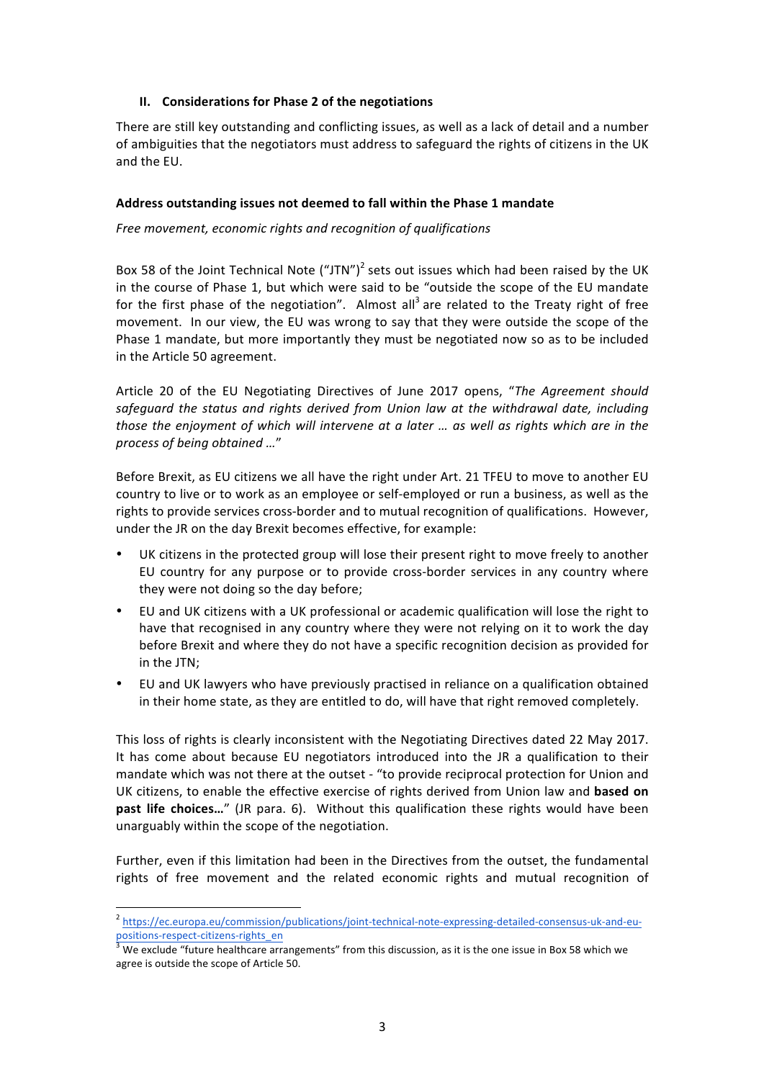## **II. Considerations for Phase 2 of the negotiations**

There are still key outstanding and conflicting issues, as well as a lack of detail and a number of ambiguities that the negotiators must address to safeguard the rights of citizens in the UK and the EU.

### **Address outstanding issues not deemed to fall within the Phase 1 mandate**

*Free movement, economic rights and recognition of qualifications*

Box 58 of the Joint Technical Note ("JTN")<sup>2</sup> sets out issues which had been raised by the UK in the course of Phase 1, but which were said to be "outside the scope of the EU mandate for the first phase of the negotiation". Almost all<sup>3</sup> are related to the Treaty right of free movement. In our view, the EU was wrong to say that they were outside the scope of the Phase 1 mandate, but more importantly they must be negotiated now so as to be included in the Article 50 agreement.

Article 20 of the EU Negotiating Directives of June 2017 opens, "*The Agreement should safeguard the status and rights derived from Union law at the withdrawal date, including those the enjoyment of which will intervene at a later … as well as rights which are in the process of being obtained …*"

Before Brexit, as EU citizens we all have the right under Art. 21 TFEU to move to another EU country to live or to work as an employee or self-employed or run a business, as well as the rights to provide services cross-border and to mutual recognition of qualifications. However, under the JR on the day Brexit becomes effective, for example:

- UK citizens in the protected group will lose their present right to move freely to another EU country for any purpose or to provide cross-border services in any country where they were not doing so the day before;
- EU and UK citizens with a UK professional or academic qualification will lose the right to have that recognised in any country where they were not relying on it to work the day before Brexit and where they do not have a specific recognition decision as provided for in the JTN;
- EU and UK lawyers who have previously practised in reliance on a qualification obtained in their home state, as they are entitled to do, will have that right removed completely.

This loss of rights is clearly inconsistent with the Negotiating Directives dated 22 May 2017. It has come about because EU negotiators introduced into the JR a qualification to their mandate which was not there at the outset - "to provide reciprocal protection for Union and UK citizens, to enable the effective exercise of rights derived from Union law and **based on past life choices...**" (JR para. 6). Without this qualification these rights would have been unarguably within the scope of the negotiation.

Further, even if this limitation had been in the Directives from the outset, the fundamental rights of free movement and the related economic rights and mutual recognition of

<sup>&</sup>lt;sup>2</sup> https://ec.europa.eu/commission/publications/joint-technical-note-expressing-detailed-consensus-uk-and-eupositions-respect-citizens-rights\_en<br><sup>3</sup> We exclude "future healthcare arrangements" from this discussion, as it is the one issue in Box 58 which we

agree is outside the scope of Article 50.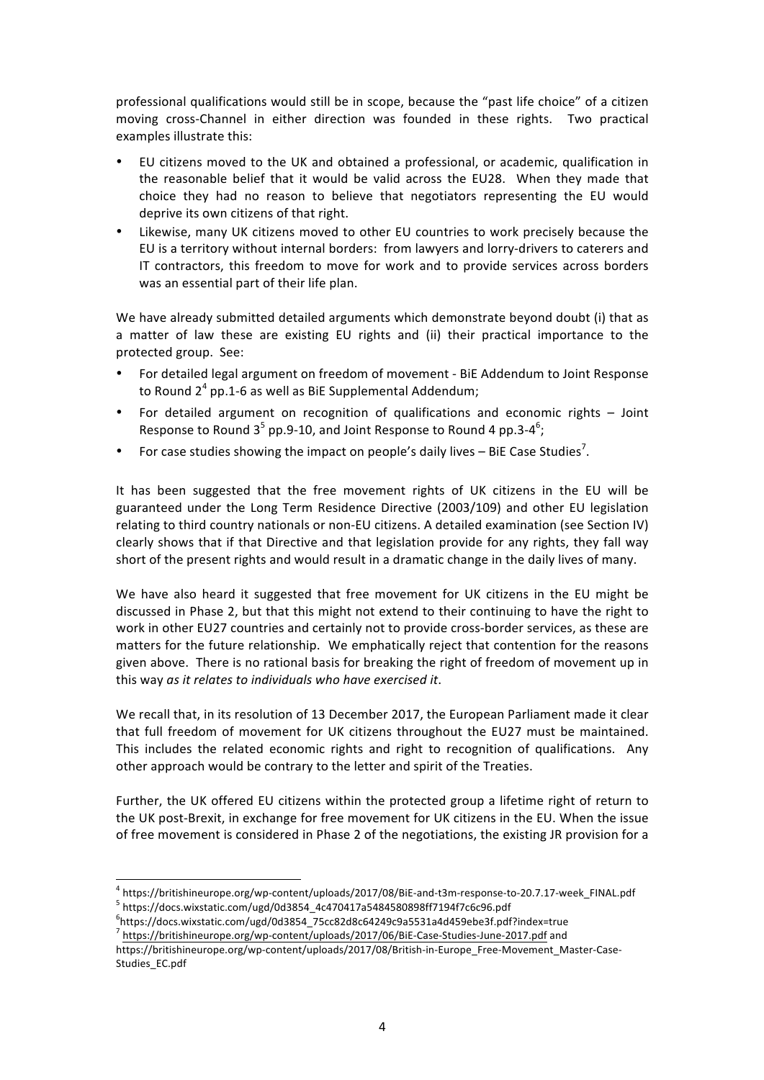professional qualifications would still be in scope, because the "past life choice" of a citizen moving cross-Channel in either direction was founded in these rights. Two practical examples illustrate this:

- EU citizens moved to the UK and obtained a professional, or academic, qualification in the reasonable belief that it would be valid across the EU28. When they made that choice they had no reason to believe that negotiators representing the EU would deprive its own citizens of that right.
- Likewise, many UK citizens moved to other EU countries to work precisely because the EU is a territory without internal borders: from lawyers and lorry-drivers to caterers and IT contractors, this freedom to move for work and to provide services across borders was an essential part of their life plan.

We have already submitted detailed arguments which demonstrate beyond doubt (i) that as a matter of law these are existing EU rights and (ii) their practical importance to the protected group. See:

- For detailed legal argument on freedom of movement BiE Addendum to Joint Response to Round  $2^4$  pp.1-6 as well as BiE Supplemental Addendum;
- For detailed argument on recognition of qualifications and economic rights Joint Response to Round 3<sup>5</sup> pp.9-10, and Joint Response to Round 4 pp.3-4<sup>6</sup>;
- For case studies showing the impact on people's daily lives  $-$  BiE Case Studies<sup>7</sup>.

It has been suggested that the free movement rights of UK citizens in the EU will be guaranteed under the Long Term Residence Directive (2003/109) and other EU legislation relating to third country nationals or non-EU citizens. A detailed examination (see Section IV) clearly shows that if that Directive and that legislation provide for any rights, they fall way short of the present rights and would result in a dramatic change in the daily lives of many.

We have also heard it suggested that free movement for UK citizens in the EU might be discussed in Phase 2, but that this might not extend to their continuing to have the right to work in other EU27 countries and certainly not to provide cross-border services, as these are matters for the future relationship. We emphatically reject that contention for the reasons given above. There is no rational basis for breaking the right of freedom of movement up in this way *as it relates to individuals who have exercised it*.

We recall that, in its resolution of 13 December 2017, the European Parliament made it clear that full freedom of movement for UK citizens throughout the EU27 must be maintained. This includes the related economic rights and right to recognition of qualifications. Any other approach would be contrary to the letter and spirit of the Treaties.

Further, the UK offered EU citizens within the protected group a lifetime right of return to the UK post-Brexit, in exchange for free movement for UK citizens in the EU. When the issue of free movement is considered in Phase 2 of the negotiations, the existing JR provision for a

<sup>6</sup>https://docs.wixstatic.com/ugd/0d3854\_75cc82d8c64249c9a5531a4d459ebe3f.pdf?index=true <sup>7</sup> https://britishineurope.org/wp-content/uploads/2017/06/BiE-Case-Studies-June-2017.pdf and

 $^4$  https://britishineurope.org/wp-content/uploads/2017/08/BiE-and-t3m-response-to-20.7.17-week\_FINAL.pdf<br> $^5$  https://docs.wixstatic.com/ugd/0d3854\_4c470417a5484580898ff7194f7c6c96.pdf

https://britishineurope.org/wp-content/uploads/2017/08/British-in-Europe\_Free-Movement\_Master-Case-Studies\_EC.pdf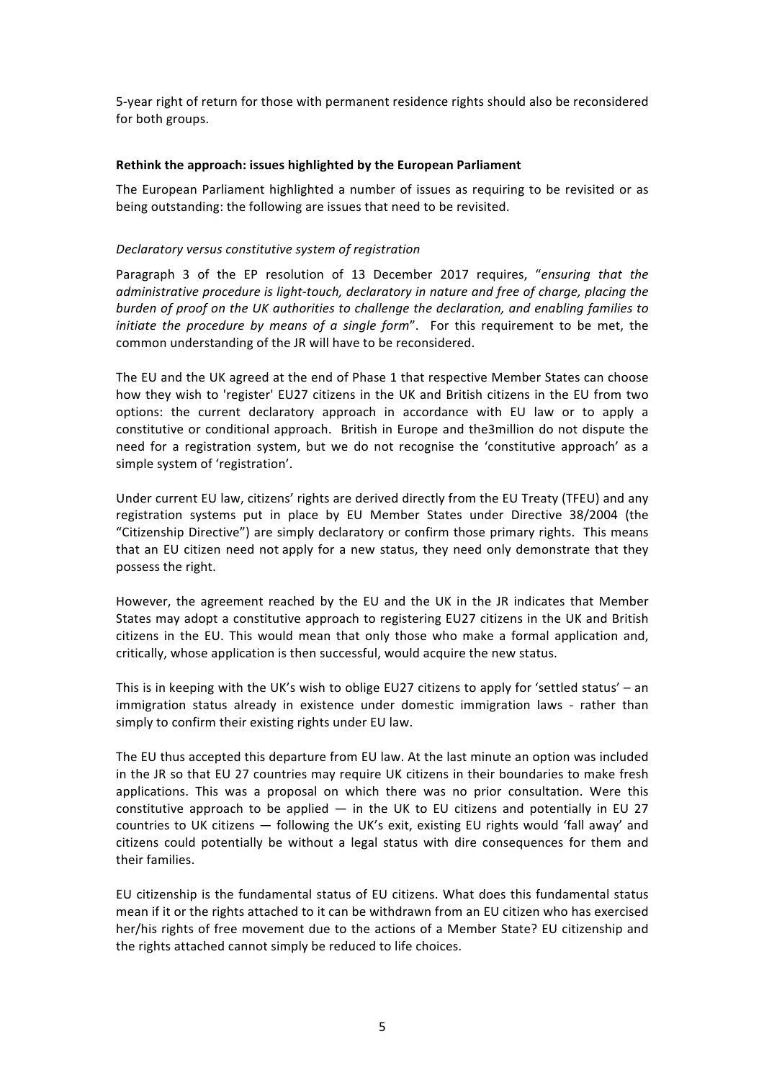5-year right of return for those with permanent residence rights should also be reconsidered for both groups.

### **Rethink the approach: issues highlighted by the European Parliament**

The European Parliament highlighted a number of issues as requiring to be revisited or as being outstanding: the following are issues that need to be revisited.

# *Declaratory versus constitutive system of registration*

Paragraph 3 of the EP resolution of 13 December 2017 requires, "*ensuring that the administrative procedure is light-touch, declaratory in nature and free of charge, placing the burden of proof on the UK authorities to challenge the declaration, and enabling families to initiate the procedure by means of a single form*". For this requirement to be met, the common understanding of the JR will have to be reconsidered.

The EU and the UK agreed at the end of Phase 1 that respective Member States can choose how they wish to 'register' EU27 citizens in the UK and British citizens in the EU from two options: the current declaratory approach in accordance with EU law or to apply a constitutive or conditional approach. British in Europe and the3million do not dispute the need for a registration system, but we do not recognise the 'constitutive approach' as a simple system of 'registration'.

Under current EU law, citizens' rights are derived directly from the EU Treaty (TFEU) and any registration systems put in place by EU Member States under Directive 38/2004 (the "Citizenship Directive") are simply declaratory or confirm those primary rights. This means that an EU citizen need not apply for a new status, they need only demonstrate that they possess the right.

However, the agreement reached by the EU and the UK in the JR indicates that Member States may adopt a constitutive approach to registering EU27 citizens in the UK and British citizens in the EU. This would mean that only those who make a formal application and, critically, whose application is then successful, would acquire the new status.

This is in keeping with the UK's wish to oblige EU27 citizens to apply for 'settled status' – an immigration status already in existence under domestic immigration laws - rather than simply to confirm their existing rights under EU law.

The EU thus accepted this departure from EU law. At the last minute an option was included in the JR so that EU 27 countries may require UK citizens in their boundaries to make fresh applications. This was a proposal on which there was no prior consultation. Were this constitutive approach to be applied  $-$  in the UK to EU citizens and potentially in EU 27 countries to UK citizens — following the UK's exit, existing EU rights would 'fall away' and citizens could potentially be without a legal status with dire consequences for them and their families.

EU citizenship is the fundamental status of EU citizens. What does this fundamental status mean if it or the rights attached to it can be withdrawn from an EU citizen who has exercised her/his rights of free movement due to the actions of a Member State? EU citizenship and the rights attached cannot simply be reduced to life choices.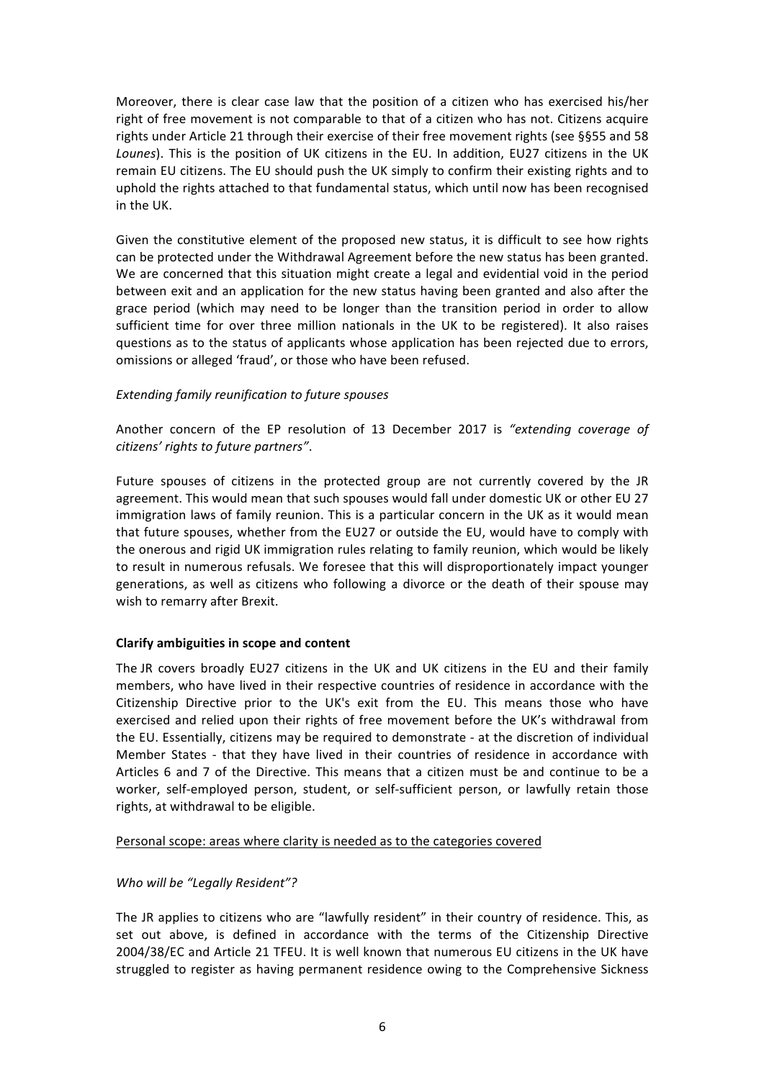Moreover, there is clear case law that the position of a citizen who has exercised his/her right of free movement is not comparable to that of a citizen who has not. Citizens acquire rights under Article 21 through their exercise of their free movement rights (see §§55 and 58 *Lounes*). This is the position of UK citizens in the EU. In addition, EU27 citizens in the UK remain EU citizens. The EU should push the UK simply to confirm their existing rights and to uphold the rights attached to that fundamental status, which until now has been recognised in the UK.

Given the constitutive element of the proposed new status, it is difficult to see how rights can be protected under the Withdrawal Agreement before the new status has been granted. We are concerned that this situation might create a legal and evidential void in the period between exit and an application for the new status having been granted and also after the grace period (which may need to be longer than the transition period in order to allow sufficient time for over three million nationals in the UK to be registered). It also raises questions as to the status of applicants whose application has been rejected due to errors, omissions or alleged 'fraud', or those who have been refused.

### *Extending family reunification to future spouses*

Another concern of the EP resolution of 13 December 2017 is *"extending coverage of citizens' rights to future partners"*.

Future spouses of citizens in the protected group are not currently covered by the JR agreement. This would mean that such spouses would fall under domestic UK or other EU 27 immigration laws of family reunion. This is a particular concern in the UK as it would mean that future spouses, whether from the EU27 or outside the EU, would have to comply with the onerous and rigid UK immigration rules relating to family reunion, which would be likely to result in numerous refusals. We foresee that this will disproportionately impact younger generations, as well as citizens who following a divorce or the death of their spouse may wish to remarry after Brexit.

### **Clarify ambiguities in scope and content**

The JR covers broadly EU27 citizens in the UK and UK citizens in the EU and their family members, who have lived in their respective countries of residence in accordance with the Citizenship Directive prior to the UK's exit from the EU. This means those who have exercised and relied upon their rights of free movement before the UK's withdrawal from the EU. Essentially, citizens may be required to demonstrate - at the discretion of individual Member States - that they have lived in their countries of residence in accordance with Articles 6 and 7 of the Directive. This means that a citizen must be and continue to be a worker, self-employed person, student, or self-sufficient person, or lawfully retain those rights, at withdrawal to be eligible.

### Personal scope: areas where clarity is needed as to the categories covered

### *Who will be "Legally Resident"?*

The JR applies to citizens who are "lawfully resident" in their country of residence. This, as set out above, is defined in accordance with the terms of the Citizenship Directive 2004/38/EC and Article 21 TFEU. It is well known that numerous EU citizens in the UK have struggled to register as having permanent residence owing to the Comprehensive Sickness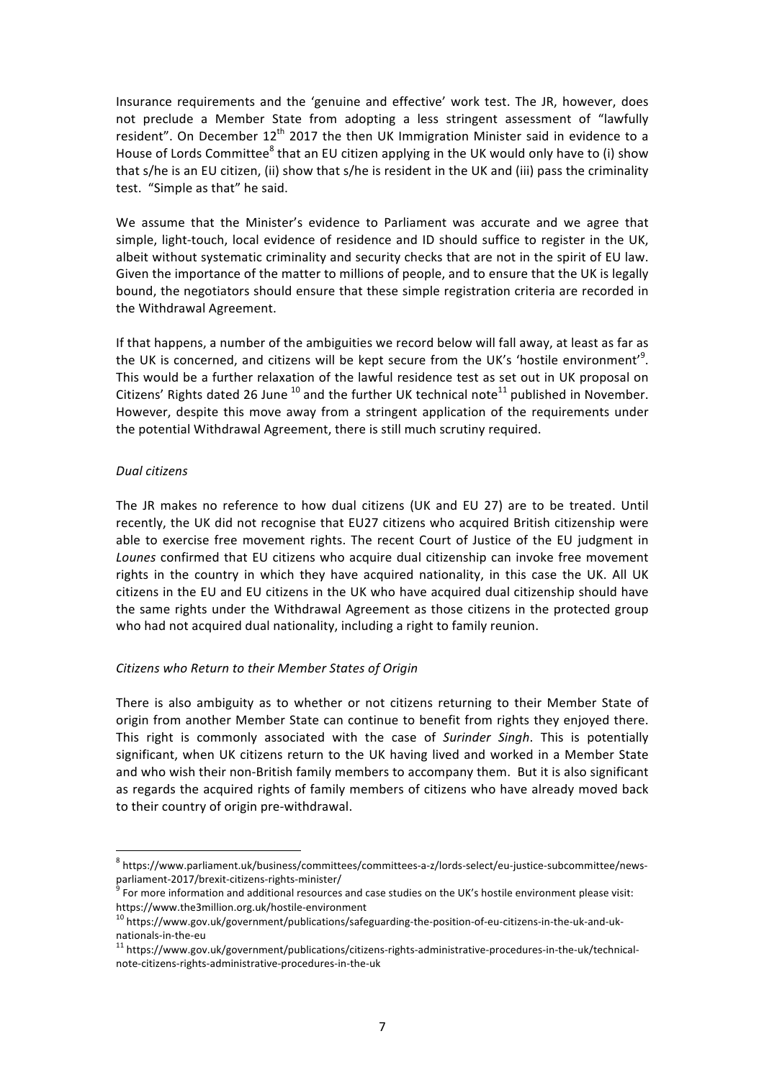Insurance requirements and the 'genuine and effective' work test. The JR, however, does not preclude a Member State from adopting a less stringent assessment of "lawfully resident". On December  $12<sup>th</sup>$  2017 the then UK Immigration Minister said in evidence to a House of Lords Committee<sup>8</sup> that an EU citizen applying in the UK would only have to (i) show that s/he is an EU citizen, (ii) show that s/he is resident in the UK and (iii) pass the criminality test. "Simple as that" he said.

We assume that the Minister's evidence to Parliament was accurate and we agree that simple, light-touch, local evidence of residence and ID should suffice to register in the UK, albeit without systematic criminality and security checks that are not in the spirit of EU law. Given the importance of the matter to millions of people, and to ensure that the UK is legally bound, the negotiators should ensure that these simple registration criteria are recorded in the Withdrawal Agreement. 

If that happens, a number of the ambiguities we record below will fall away, at least as far as the UK is concerned, and citizens will be kept secure from the UK's 'hostile environment'<sup>9</sup>. This would be a further relaxation of the lawful residence test as set out in UK proposal on Citizens' Rights dated 26 June  $^{10}$  and the further UK technical note<sup>11</sup> published in November. However, despite this move away from a stringent application of the requirements under the potential Withdrawal Agreement, there is still much scrutiny required.

### *Dual citizens*

The JR makes no reference to how dual citizens (UK and EU 27) are to be treated. Until recently, the UK did not recognise that EU27 citizens who acquired British citizenship were able to exercise free movement rights. The recent Court of Justice of the EU judgment in *Lounes* confirmed that EU citizens who acquire dual citizenship can invoke free movement rights in the country in which they have acquired nationality, in this case the UK. All UK citizens in the EU and EU citizens in the UK who have acquired dual citizenship should have the same rights under the Withdrawal Agreement as those citizens in the protected group who had not acquired dual nationality, including a right to family reunion.

# *Citizens who Return to their Member States of Origin*

There is also ambiguity as to whether or not citizens returning to their Member State of origin from another Member State can continue to benefit from rights they enjoyed there. This right is commonly associated with the case of *Surinder Singh*. This is potentially significant, when UK citizens return to the UK having lived and worked in a Member State and who wish their non-British family members to accompany them. But it is also significant as regards the acquired rights of family members of citizens who have already moved back to their country of origin pre-withdrawal.

<sup>8</sup> https://www.parliament.uk/business/committees/committees-a-z/lords-select/eu-justice-subcommittee/newsparliament-2017/brexit-citizens-rights-minister/<br><sup>9</sup> For more information and additional resources and case studies on the UK's hostile environment please visit:

https://www.the3million.org.uk/hostile-environment<br><sup>10</sup> https://www.gov.uk/government/publications/safeguarding-the-position-of-eu-citizens-in-the-uk-and-uk-

nationals-in-the-eu<br><sup>11</sup> https://www.gov.uk/government/publications/citizens-rights-administrative-procedures-in-the-uk/technicalnote-citizens-rights-administrative-procedures-in-the-uk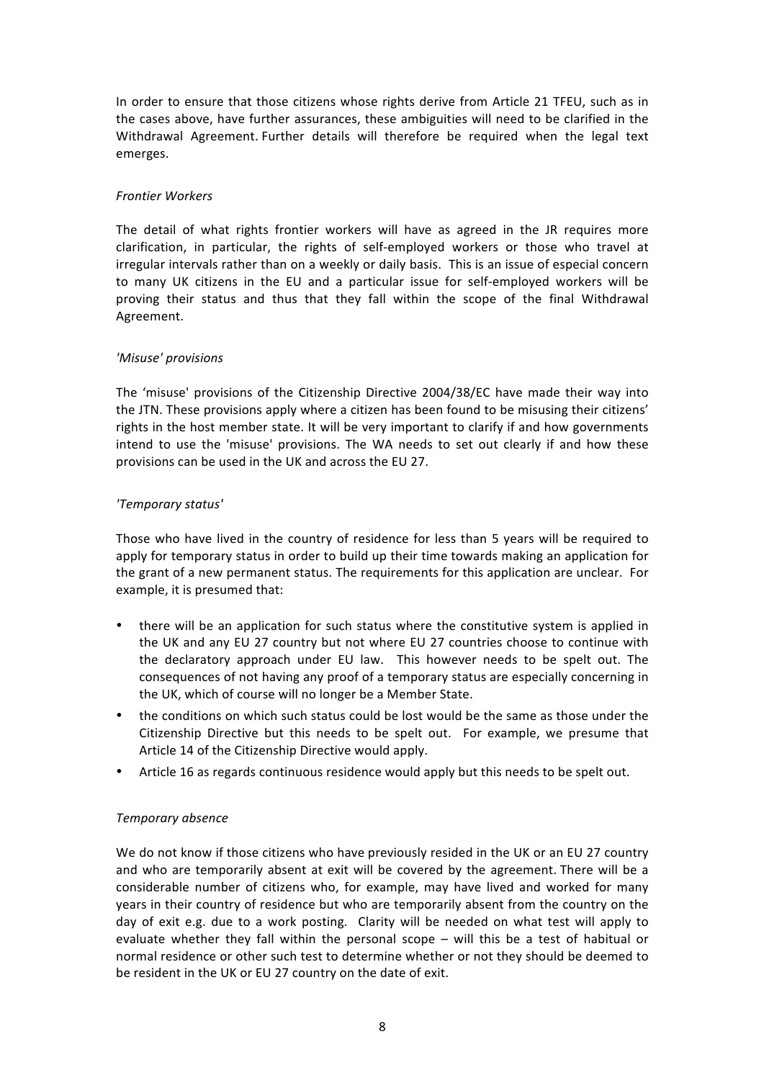In order to ensure that those citizens whose rights derive from Article 21 TFEU, such as in the cases above, have further assurances, these ambiguities will need to be clarified in the Withdrawal Agreement. Further details will therefore be required when the legal text emerges.

## *Frontier Workers*

The detail of what rights frontier workers will have as agreed in the JR requires more clarification, in particular, the rights of self-employed workers or those who travel at irregular intervals rather than on a weekly or daily basis. This is an issue of especial concern to many UK citizens in the EU and a particular issue for self-employed workers will be proving their status and thus that they fall within the scope of the final Withdrawal Agreement.

## *'Misuse' provisions*

The 'misuse' provisions of the Citizenship Directive 2004/38/EC have made their way into the JTN. These provisions apply where a citizen has been found to be misusing their citizens' rights in the host member state. It will be very important to clarify if and how governments intend to use the 'misuse' provisions. The WA needs to set out clearly if and how these provisions can be used in the UK and across the EU 27.

## *'Temporary status'*

Those who have lived in the country of residence for less than 5 years will be required to apply for temporary status in order to build up their time towards making an application for the grant of a new permanent status. The requirements for this application are unclear. For example, it is presumed that:

- there will be an application for such status where the constitutive system is applied in the UK and any EU 27 country but not where EU 27 countries choose to continue with the declaratory approach under EU law. This however needs to be spelt out. The consequences of not having any proof of a temporary status are especially concerning in the UK, which of course will no longer be a Member State.
- the conditions on which such status could be lost would be the same as those under the Citizenship Directive but this needs to be spelt out. For example, we presume that Article 14 of the Citizenship Directive would apply.
- Article 16 as regards continuous residence would apply but this needs to be spelt out.

# *Temporary absence*

We do not know if those citizens who have previously resided in the UK or an EU 27 country and who are temporarily absent at exit will be covered by the agreement. There will be a considerable number of citizens who, for example, may have lived and worked for many years in their country of residence but who are temporarily absent from the country on the day of exit e.g. due to a work posting. Clarity will be needed on what test will apply to evaluate whether they fall within the personal scope – will this be a test of habitual or normal residence or other such test to determine whether or not they should be deemed to be resident in the UK or EU 27 country on the date of exit.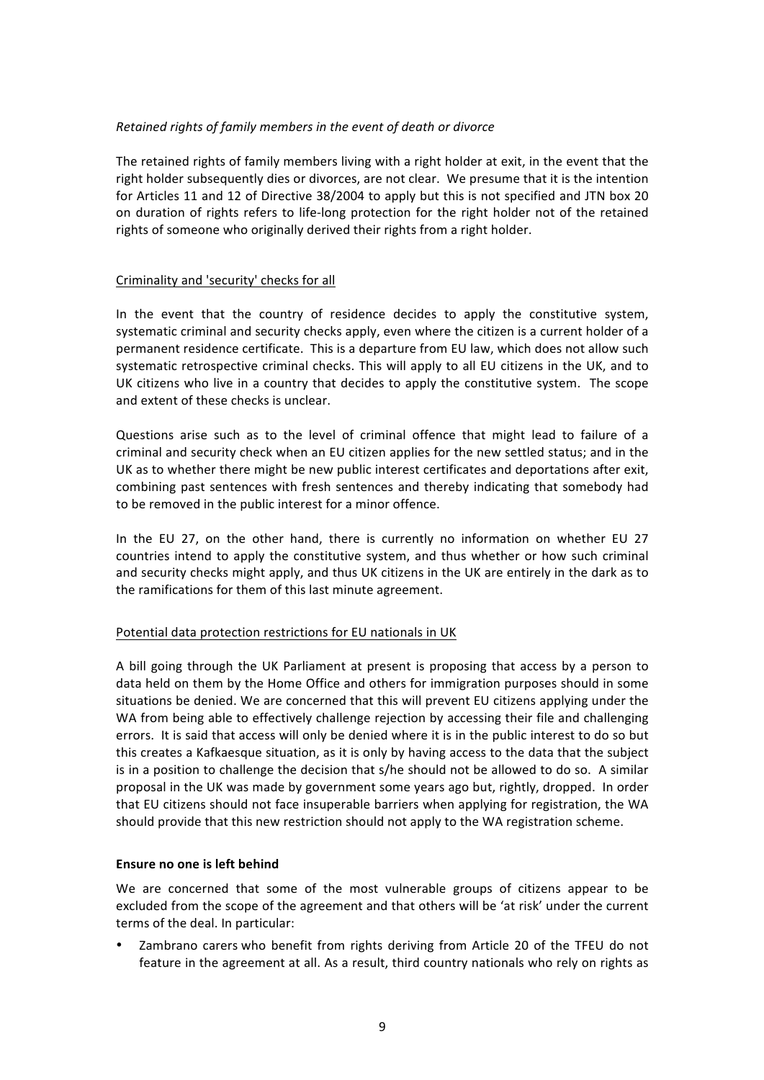## *Retained rights of family members in the event of death or divorce*

The retained rights of family members living with a right holder at exit, in the event that the right holder subsequently dies or divorces, are not clear. We presume that it is the intention for Articles 11 and 12 of Directive 38/2004 to apply but this is not specified and JTN box 20 on duration of rights refers to life-long protection for the right holder not of the retained rights of someone who originally derived their rights from a right holder.

## Criminality and 'security' checks for all

In the event that the country of residence decides to apply the constitutive system, systematic criminal and security checks apply, even where the citizen is a current holder of a permanent residence certificate. This is a departure from EU law, which does not allow such systematic retrospective criminal checks. This will apply to all EU citizens in the UK, and to UK citizens who live in a country that decides to apply the constitutive system. The scope and extent of these checks is unclear.

Questions arise such as to the level of criminal offence that might lead to failure of a criminal and security check when an EU citizen applies for the new settled status; and in the UK as to whether there might be new public interest certificates and deportations after exit, combining past sentences with fresh sentences and thereby indicating that somebody had to be removed in the public interest for a minor offence.

In the EU 27, on the other hand, there is currently no information on whether EU 27 countries intend to apply the constitutive system, and thus whether or how such criminal and security checks might apply, and thus UK citizens in the UK are entirely in the dark as to the ramifications for them of this last minute agreement.

### Potential data protection restrictions for EU nationals in UK

A bill going through the UK Parliament at present is proposing that access by a person to data held on them by the Home Office and others for immigration purposes should in some situations be denied. We are concerned that this will prevent EU citizens applying under the WA from being able to effectively challenge rejection by accessing their file and challenging errors. It is said that access will only be denied where it is in the public interest to do so but this creates a Kafkaesque situation, as it is only by having access to the data that the subject is in a position to challenge the decision that s/he should not be allowed to do so. A similar proposal in the UK was made by government some years ago but, rightly, dropped. In order that EU citizens should not face insuperable barriers when applying for registration, the WA should provide that this new restriction should not apply to the WA registration scheme.

### **Ensure no one is left behind**

We are concerned that some of the most vulnerable groups of citizens appear to be excluded from the scope of the agreement and that others will be 'at risk' under the current terms of the deal. In particular:

• Zambrano carers who benefit from rights deriving from Article 20 of the TFEU do not feature in the agreement at all. As a result, third country nationals who rely on rights as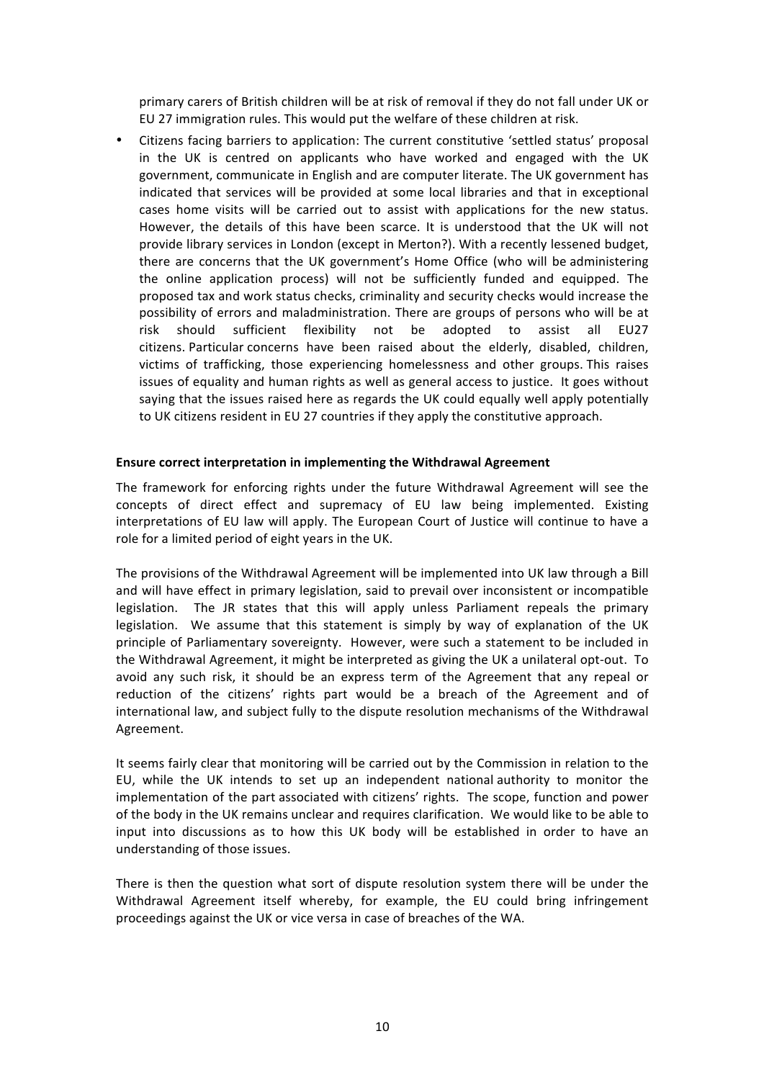primary carers of British children will be at risk of removal if they do not fall under UK or EU 27 immigration rules. This would put the welfare of these children at risk.

• Citizens facing barriers to application: The current constitutive 'settled status' proposal in the UK is centred on applicants who have worked and engaged with the UK government, communicate in English and are computer literate. The UK government has indicated that services will be provided at some local libraries and that in exceptional cases home visits will be carried out to assist with applications for the new status. However, the details of this have been scarce. It is understood that the UK will not provide library services in London (except in Merton?). With a recently lessened budget, there are concerns that the UK government's Home Office (who will be administering the online application process) will not be sufficiently funded and equipped. The proposed tax and work status checks, criminality and security checks would increase the possibility of errors and maladministration. There are groups of persons who will be at risk should sufficient flexibility not be adopted to assist all EU27 citizens. Particular concerns have been raised about the elderly, disabled, children, victims of trafficking, those experiencing homelessness and other groups. This raises issues of equality and human rights as well as general access to justice. It goes without saying that the issues raised here as regards the UK could equally well apply potentially to UK citizens resident in EU 27 countries if they apply the constitutive approach.

### **Ensure correct interpretation in implementing the Withdrawal Agreement**

The framework for enforcing rights under the future Withdrawal Agreement will see the concepts of direct effect and supremacy of EU law being implemented. Existing interpretations of EU law will apply. The European Court of Justice will continue to have a role for a limited period of eight years in the UK.

The provisions of the Withdrawal Agreement will be implemented into UK law through a Bill and will have effect in primary legislation, said to prevail over inconsistent or incompatible legislation. The JR states that this will apply unless Parliament repeals the primary legislation. We assume that this statement is simply by way of explanation of the UK principle of Parliamentary sovereignty. However, were such a statement to be included in the Withdrawal Agreement, it might be interpreted as giving the UK a unilateral opt-out. To avoid any such risk, it should be an express term of the Agreement that any repeal or reduction of the citizens' rights part would be a breach of the Agreement and of international law, and subject fully to the dispute resolution mechanisms of the Withdrawal Agreement.

It seems fairly clear that monitoring will be carried out by the Commission in relation to the EU, while the UK intends to set up an independent national authority to monitor the implementation of the part associated with citizens' rights. The scope, function and power of the body in the UK remains unclear and requires clarification. We would like to be able to input into discussions as to how this UK body will be established in order to have an understanding of those issues.

There is then the question what sort of dispute resolution system there will be under the Withdrawal Agreement itself whereby, for example, the EU could bring infringement proceedings against the UK or vice versa in case of breaches of the WA.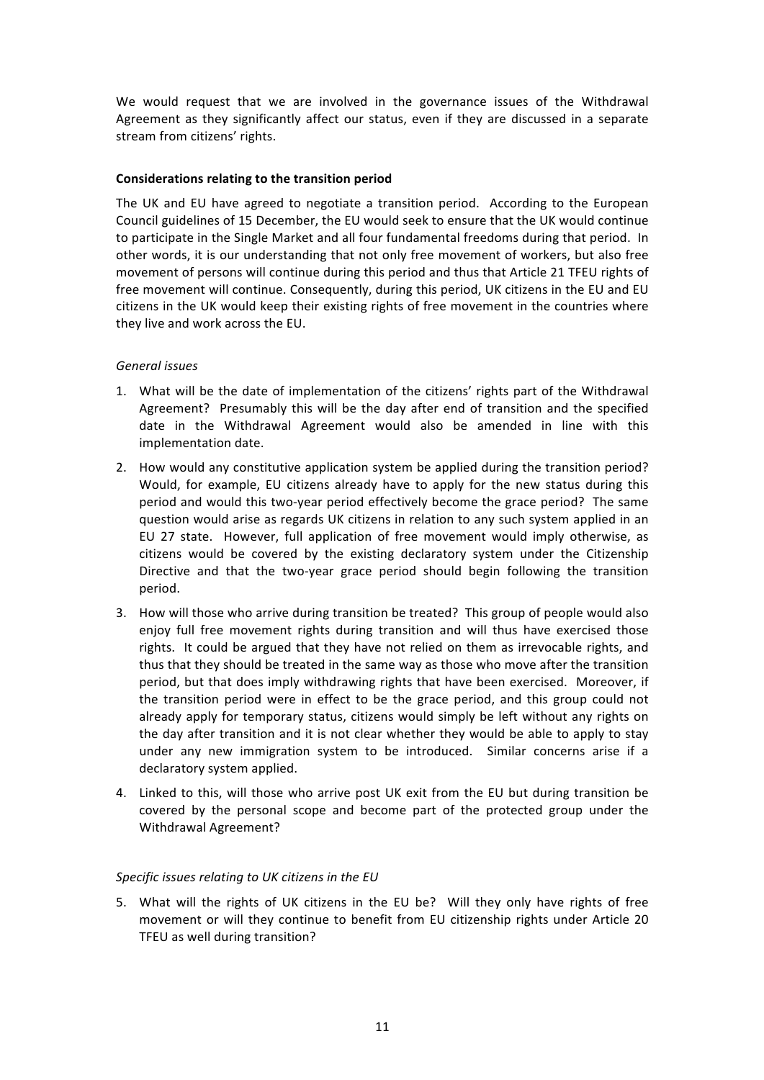We would request that we are involved in the governance issues of the Withdrawal Agreement as they significantly affect our status, even if they are discussed in a separate stream from citizens' rights.

## **Considerations relating to the transition period**

The UK and EU have agreed to negotiate a transition period. According to the European Council guidelines of 15 December, the EU would seek to ensure that the UK would continue to participate in the Single Market and all four fundamental freedoms during that period. In other words, it is our understanding that not only free movement of workers, but also free movement of persons will continue during this period and thus that Article 21 TFEU rights of free movement will continue. Consequently, during this period, UK citizens in the EU and EU citizens in the UK would keep their existing rights of free movement in the countries where they live and work across the EU.

## *General issues*

- 1. What will be the date of implementation of the citizens' rights part of the Withdrawal Agreement? Presumably this will be the day after end of transition and the specified date in the Withdrawal Agreement would also be amended in line with this implementation date.
- 2. How would any constitutive application system be applied during the transition period? Would, for example, EU citizens already have to apply for the new status during this period and would this two-year period effectively become the grace period? The same question would arise as regards UK citizens in relation to any such system applied in an EU 27 state. However, full application of free movement would imply otherwise, as citizens would be covered by the existing declaratory system under the Citizenship Directive and that the two-year grace period should begin following the transition period.
- 3. How will those who arrive during transition be treated? This group of people would also enjoy full free movement rights during transition and will thus have exercised those rights. It could be argued that they have not relied on them as irrevocable rights, and thus that they should be treated in the same way as those who move after the transition period, but that does imply withdrawing rights that have been exercised. Moreover, if the transition period were in effect to be the grace period, and this group could not already apply for temporary status, citizens would simply be left without any rights on the day after transition and it is not clear whether they would be able to apply to stay under any new immigration system to be introduced. Similar concerns arise if a declaratory system applied.
- 4. Linked to this, will those who arrive post UK exit from the EU but during transition be covered by the personal scope and become part of the protected group under the Withdrawal Agreement?

### *Specific issues relating to UK citizens in the EU*

5. What will the rights of UK citizens in the EU be? Will they only have rights of free movement or will they continue to benefit from EU citizenship rights under Article 20 TFEU as well during transition?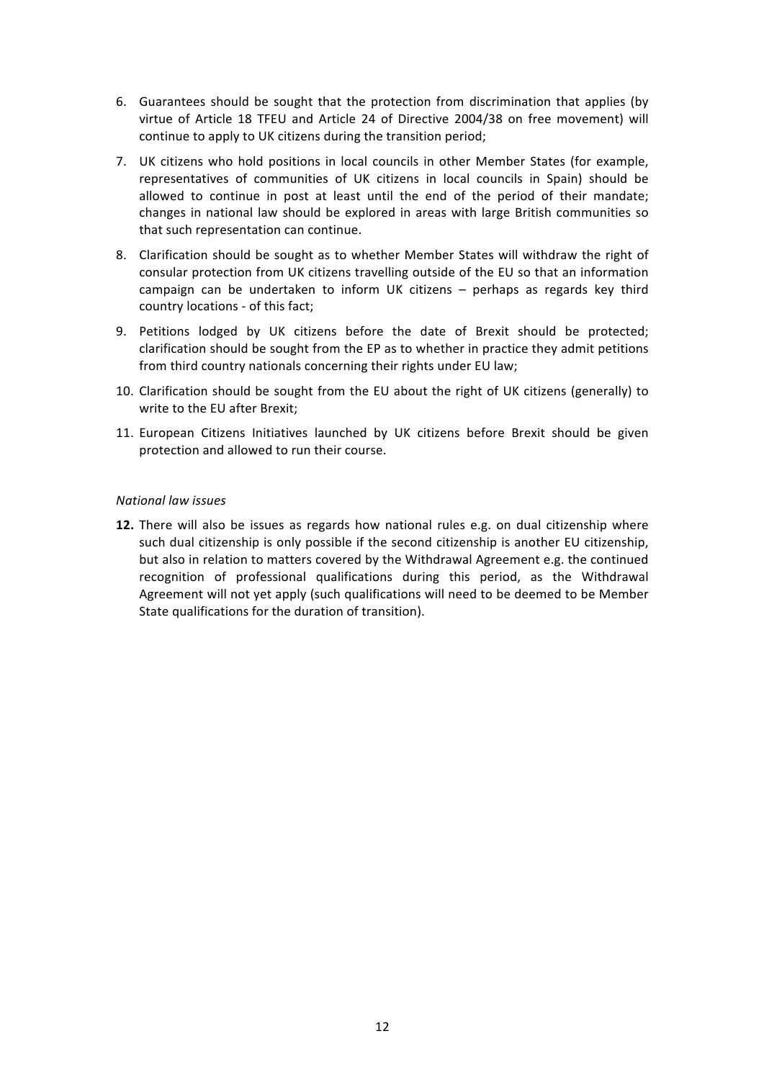- 6. Guarantees should be sought that the protection from discrimination that applies (by virtue of Article 18 TFEU and Article 24 of Directive 2004/38 on free movement) will continue to apply to UK citizens during the transition period;
- 7. UK citizens who hold positions in local councils in other Member States (for example, representatives of communities of UK citizens in local councils in Spain) should be allowed to continue in post at least until the end of the period of their mandate; changes in national law should be explored in areas with large British communities so that such representation can continue.
- 8. Clarification should be sought as to whether Member States will withdraw the right of consular protection from UK citizens travelling outside of the EU so that an information campaign can be undertaken to inform UK citizens – perhaps as regards key third country locations - of this fact;
- 9. Petitions lodged by UK citizens before the date of Brexit should be protected; clarification should be sought from the EP as to whether in practice they admit petitions from third country nationals concerning their rights under EU law;
- 10. Clarification should be sought from the EU about the right of UK citizens (generally) to write to the EU after Brexit;
- 11. European Citizens Initiatives launched by UK citizens before Brexit should be given protection and allowed to run their course.

#### *National law issues*

**12.** There will also be issues as regards how national rules e.g. on dual citizenship where such dual citizenship is only possible if the second citizenship is another EU citizenship, but also in relation to matters covered by the Withdrawal Agreement e.g. the continued recognition of professional qualifications during this period, as the Withdrawal Agreement will not yet apply (such qualifications will need to be deemed to be Member State qualifications for the duration of transition).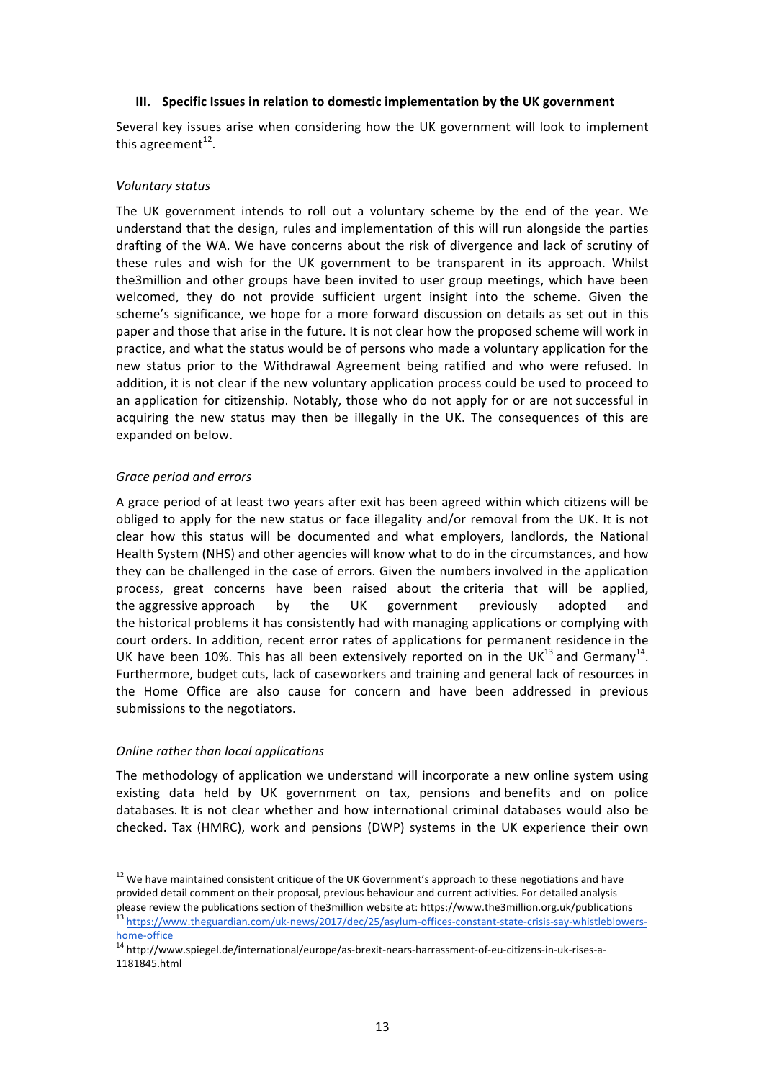#### **III. Specific Issues in relation to domestic implementation by the UK government**

Several key issues arise when considering how the UK government will look to implement this agreement $^{12}$ .

#### *Voluntary status*

The UK government intends to roll out a voluntary scheme by the end of the year. We understand that the design, rules and implementation of this will run alongside the parties drafting of the WA. We have concerns about the risk of divergence and lack of scrutiny of these rules and wish for the UK government to be transparent in its approach. Whilst the3million and other groups have been invited to user group meetings, which have been welcomed, they do not provide sufficient urgent insight into the scheme. Given the scheme's significance, we hope for a more forward discussion on details as set out in this paper and those that arise in the future. It is not clear how the proposed scheme will work in practice, and what the status would be of persons who made a voluntary application for the new status prior to the Withdrawal Agreement being ratified and who were refused. In addition, it is not clear if the new voluntary application process could be used to proceed to an application for citizenship. Notably, those who do not apply for or are not successful in acquiring the new status may then be illegally in the UK. The consequences of this are expanded on below.

#### *Grace period and errors*

A grace period of at least two years after exit has been agreed within which citizens will be obliged to apply for the new status or face illegality and/or removal from the UK. It is not clear how this status will be documented and what employers, landlords, the National Health System (NHS) and other agencies will know what to do in the circumstances, and how they can be challenged in the case of errors. Given the numbers involved in the application process, great concerns have been raised about the criteria that will be applied, the aggressive approach by the UK government previously adopted and the historical problems it has consistently had with managing applications or complying with court orders. In addition, recent error rates of applications for permanent residence in the UK have been 10%. This has all been extensively reported on in the UK $^{13}$  and Germany<sup>14</sup>. Furthermore, budget cuts, lack of caseworkers and training and general lack of resources in the Home Office are also cause for concern and have been addressed in previous submissions to the negotiators.

### *Online rather than local applications*

The methodology of application we understand will incorporate a new online system using existing data held by UK government on tax, pensions and benefits and on police databases. It is not clear whether and how international criminal databases would also be checked. Tax (HMRC), work and pensions (DWP) systems in the UK experience their own

<sup>&</sup>lt;sup>12</sup> We have maintained consistent critique of the UK Government's approach to these negotiations and have provided detail comment on their proposal, previous behaviour and current activities. For detailed analysis please review the publications section of the3million website at: https://www.the3million.org.uk/publications 13 https://www.theguardian.com/uk-news/2017/dec/25/asylum-offices-constant-state-crisis-say-whistleblowers-

home-office<br> $\frac{14}{14}$ http://www.spiegel.de/international/europe/as-brexit-nears-harrassment-of-eu-citizens-in-uk-rises-a-

<sup>1181845.</sup>html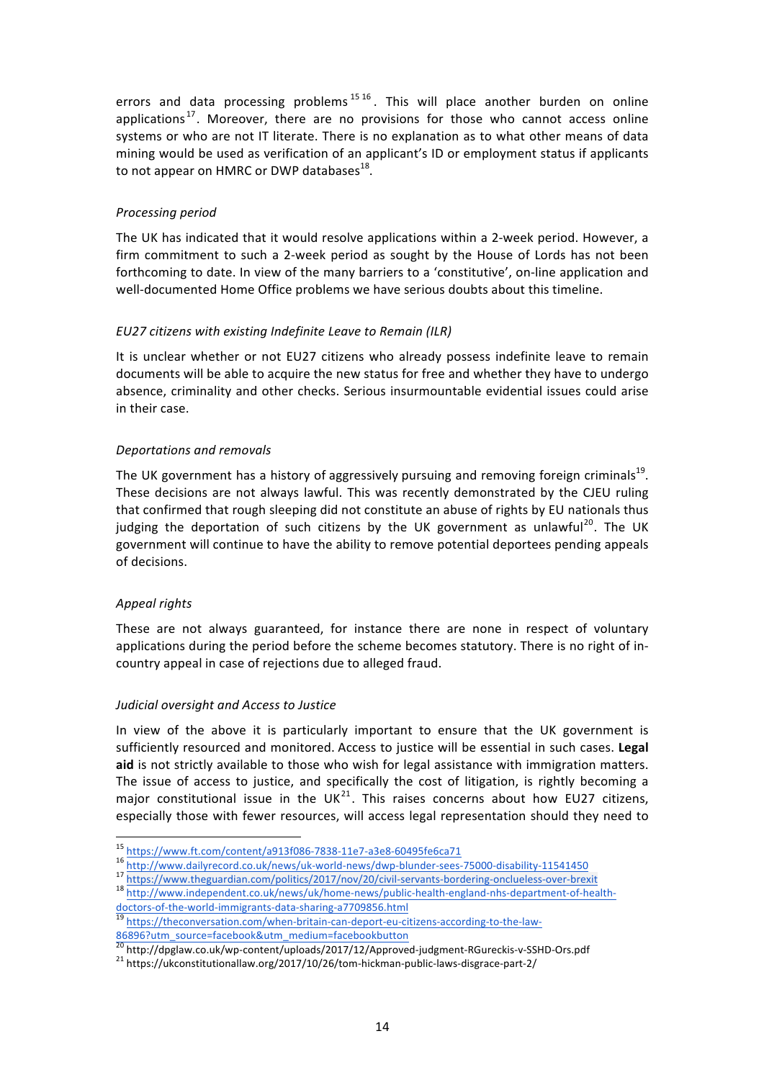errors and data processing problems<sup>1516</sup>. This will place another burden on online applications<sup>17</sup>. Moreover, there are no provisions for those who cannot access online systems or who are not IT literate. There is no explanation as to what other means of data mining would be used as verification of an applicant's ID or employment status if applicants to not appear on HMRC or DWP databases $^{18}$ .

## *Processing period*

The UK has indicated that it would resolve applications within a 2-week period. However, a firm commitment to such a 2-week period as sought by the House of Lords has not been forthcoming to date. In view of the many barriers to a 'constitutive', on-line application and well-documented Home Office problems we have serious doubts about this timeline.

## *EU27 citizens with existing Indefinite Leave to Remain (ILR)*

It is unclear whether or not EU27 citizens who already possess indefinite leave to remain documents will be able to acquire the new status for free and whether they have to undergo absence, criminality and other checks. Serious insurmountable evidential issues could arise in their case.

## *Deportations and removals*

The UK government has a history of aggressively pursuing and removing foreign criminals<sup>19</sup>. These decisions are not always lawful. This was recently demonstrated by the CJEU ruling that confirmed that rough sleeping did not constitute an abuse of rights by EU nationals thus judging the deportation of such citizens by the UK government as unlawful<sup>20</sup>. The UK government will continue to have the ability to remove potential deportees pending appeals of decisions.

### *Appeal rights*

These are not always guaranteed, for instance there are none in respect of voluntary applications during the period before the scheme becomes statutory. There is no right of incountry appeal in case of rejections due to alleged fraud.

# *Judicial oversight and Access to Justice*

In view of the above it is particularly important to ensure that the UK government is sufficiently resourced and monitored. Access to justice will be essential in such cases. **Legal aid** is not strictly available to those who wish for legal assistance with immigration matters. The issue of access to justice, and specifically the cost of litigation, is rightly becoming a major constitutional issue in the UK $^{21}$ . This raises concerns about how EU27 citizens, especially those with fewer resources, will access legal representation should they need to

 $\begin{array}{l} \text{15}\text{ https://www.fit.com/content/a913f086-7838-11e7-a3e8-60495fe6ca71} \\ \text{16}\text{http://www.dailyrecord.co.uk/news/uk-world-news/dwp-blunder-sees-75000-disability-11541450} \\ \text{17}\text{https://www.dailyrecord.co.uk/news/uk-world-news/dwp-blunder-sees-75000-disability-11541450} \\ \text{18}\text{https://www.theguardian.com/politics/2017/nov/20/civil-servants-bordering-onclueless-over-brexit} \\ \text{18}\text{http://www.independent.co.uk/news/uk/h$ 

doctors-of-the-world-immigrants-data-sharing-a7709856.html<br>
<sup>19</sup> https://theconversation.com/when-britain-can-deport-eu-citizens-according-to-the-law-

<sup>86896?</sup>utm\_source=facebook&utm\_medium=facebookbutton<br>20 http://dpglaw.co.uk/wp-content/uploads/2017/12/Approved-judgment-RGureckis-v-SSHD-Ors.pdf

 $21$  https://ukconstitutionallaw.org/2017/10/26/tom-hickman-public-laws-disgrace-part-2/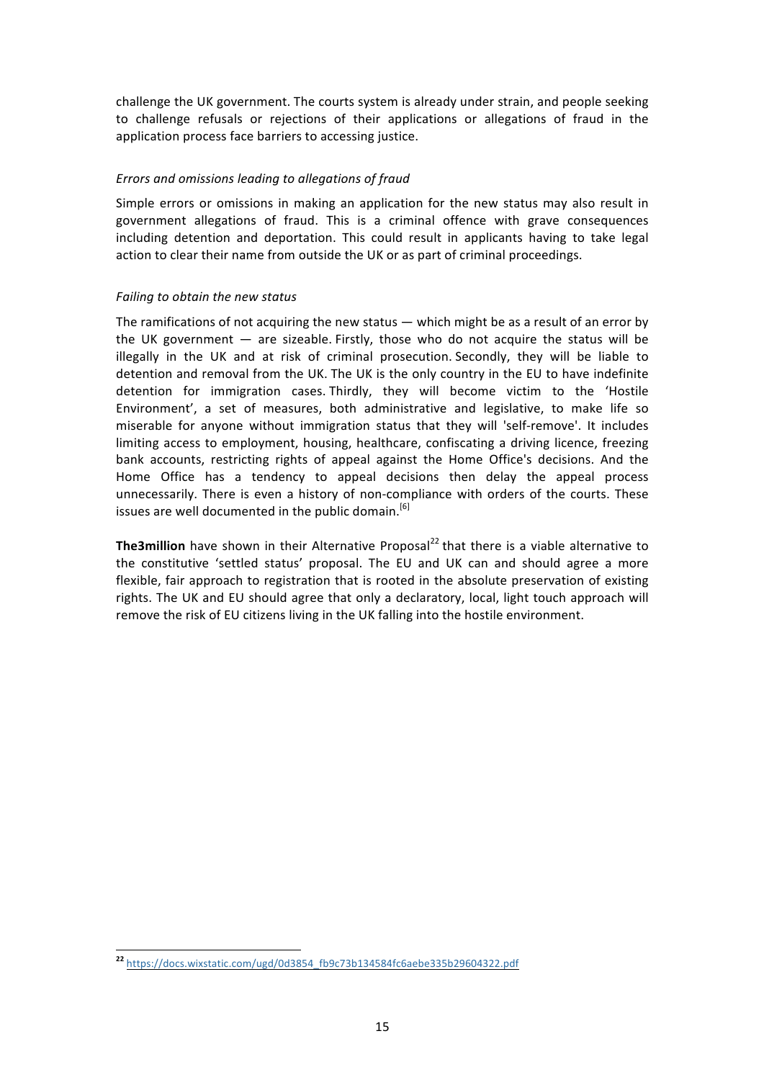challenge the UK government. The courts system is already under strain, and people seeking to challenge refusals or rejections of their applications or allegations of fraud in the application process face barriers to accessing justice.

## *Errors and omissions leading to allegations of fraud*

Simple errors or omissions in making an application for the new status may also result in government allegations of fraud. This is a criminal offence with grave consequences including detention and deportation. This could result in applicants having to take legal action to clear their name from outside the UK or as part of criminal proceedings.

## *Failing to obtain the new status*

The ramifications of not acquiring the new status  $-$  which might be as a result of an error by the UK government  $-$  are sizeable. Firstly, those who do not acquire the status will be illegally in the UK and at risk of criminal prosecution. Secondly, they will be liable to detention and removal from the UK. The UK is the only country in the EU to have indefinite detention for immigration cases. Thirdly, they will become victim to the 'Hostile Environment', a set of measures, both administrative and legislative, to make life so miserable for anyone without immigration status that they will 'self-remove'. It includes limiting access to employment, housing, healthcare, confiscating a driving licence, freezing bank accounts, restricting rights of appeal against the Home Office's decisions. And the Home Office has a tendency to appeal decisions then delay the appeal process unnecessarily. There is even a history of non-compliance with orders of the courts. These issues are well documented in the public domain.<sup>[6]</sup>

**The3million** have shown in their Alternative Proposal<sup>22</sup> that there is a viable alternative to the constitutive 'settled status' proposal. The EU and UK can and should agree a more flexible, fair approach to registration that is rooted in the absolute preservation of existing rights. The UK and EU should agree that only a declaratory, local, light touch approach will remove the risk of EU citizens living in the UK falling into the hostile environment.

**<sup>22</sup>** https://docs.wixstatic.com/ugd/0d3854\_fb9c73b134584fc6aebe335b29604322.pdf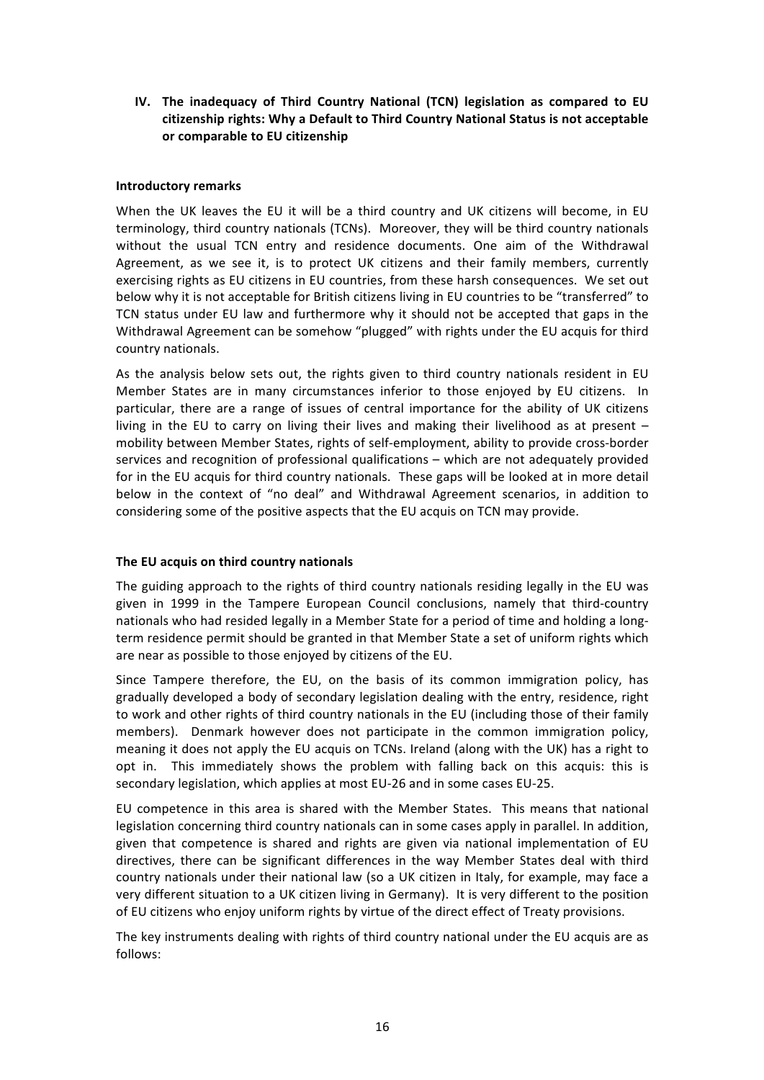**IV. The inadequacy of Third Country National (TCN) legislation as compared to EU citizenship rights: Why a Default to Third Country National Status is not acceptable or comparable to EU citizenship**

### **Introductory remarks**

When the UK leaves the EU it will be a third country and UK citizens will become, in EU terminology, third country nationals (TCNs). Moreover, they will be third country nationals without the usual TCN entry and residence documents. One aim of the Withdrawal Agreement, as we see it, is to protect UK citizens and their family members, currently exercising rights as EU citizens in EU countries, from these harsh consequences. We set out below why it is not acceptable for British citizens living in EU countries to be "transferred" to TCN status under EU law and furthermore why it should not be accepted that gaps in the Withdrawal Agreement can be somehow "plugged" with rights under the EU acquis for third country nationals. 

As the analysis below sets out, the rights given to third country nationals resident in EU Member States are in many circumstances inferior to those enjoyed by EU citizens. In particular, there are a range of issues of central importance for the ability of UK citizens living in the EU to carry on living their lives and making their livelihood as at present – mobility between Member States, rights of self-employment, ability to provide cross-border services and recognition of professional qualifications – which are not adequately provided for in the EU acquis for third country nationals. These gaps will be looked at in more detail below in the context of "no deal" and Withdrawal Agreement scenarios, in addition to considering some of the positive aspects that the EU acquis on TCN may provide.

### **The EU acquis on third country nationals**

The guiding approach to the rights of third country nationals residing legally in the EU was given in 1999 in the Tampere European Council conclusions, namely that third-country nationals who had resided legally in a Member State for a period of time and holding a longterm residence permit should be granted in that Member State a set of uniform rights which are near as possible to those enjoyed by citizens of the EU. 

Since Tampere therefore, the EU, on the basis of its common immigration policy, has gradually developed a body of secondary legislation dealing with the entry, residence, right to work and other rights of third country nationals in the EU (including those of their family members). Denmark however does not participate in the common immigration policy, meaning it does not apply the EU acquis on TCNs. Ireland (along with the UK) has a right to opt in. This immediately shows the problem with falling back on this acquis: this is secondary legislation, which applies at most EU-26 and in some cases EU-25.

EU competence in this area is shared with the Member States. This means that national legislation concerning third country nationals can in some cases apply in parallel. In addition, given that competence is shared and rights are given via national implementation of EU directives, there can be significant differences in the way Member States deal with third country nationals under their national law (so a UK citizen in Italy, for example, may face a very different situation to a UK citizen living in Germany). It is very different to the position of EU citizens who enjoy uniform rights by virtue of the direct effect of Treaty provisions.

The key instruments dealing with rights of third country national under the EU acquis are as follows: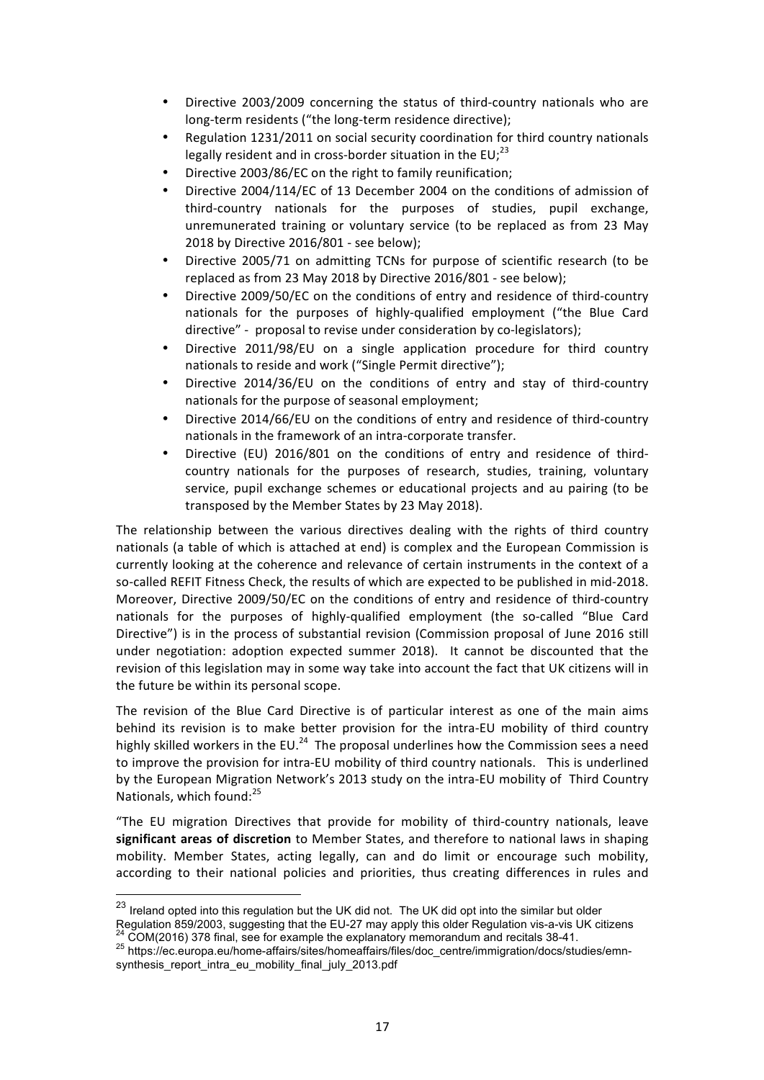- Directive 2003/2009 concerning the status of third-country nationals who are long-term residents ("the long-term residence directive);
- Regulation 1231/2011 on social security coordination for third country nationals legally resident and in cross-border situation in the  $EU_i^{23}$
- Directive 2003/86/EC on the right to family reunification;
- Directive 2004/114/EC of 13 December 2004 on the conditions of admission of third-country nationals for the purposes of studies, pupil exchange, unremunerated training or voluntary service (to be replaced as from 23 May 2018 by Directive 2016/801 - see below);
- Directive 2005/71 on admitting TCNs for purpose of scientific research (to be replaced as from 23 May 2018 by Directive 2016/801 - see below);
- Directive 2009/50/EC on the conditions of entry and residence of third-country nationals for the purposes of highly-qualified employment ("the Blue Card directive" - proposal to revise under consideration by co-legislators);
- Directive 2011/98/EU on a single application procedure for third country nationals to reside and work ("Single Permit directive");
- Directive 2014/36/EU on the conditions of entry and stay of third-country nationals for the purpose of seasonal employment;
- Directive 2014/66/EU on the conditions of entry and residence of third-country nationals in the framework of an intra-corporate transfer.
- Directive (EU) 2016/801 on the conditions of entry and residence of thirdcountry nationals for the purposes of research, studies, training, voluntary service, pupil exchange schemes or educational projects and au pairing (to be transposed by the Member States by 23 May 2018).

The relationship between the various directives dealing with the rights of third country nationals (a table of which is attached at end) is complex and the European Commission is currently looking at the coherence and relevance of certain instruments in the context of a so-called REFIT Fitness Check, the results of which are expected to be published in mid-2018. Moreover, Directive 2009/50/EC on the conditions of entry and residence of third-country nationals for the purposes of highly-qualified employment (the so-called "Blue Card Directive") is in the process of substantial revision (Commission proposal of June 2016 still under negotiation: adoption expected summer 2018). It cannot be discounted that the revision of this legislation may in some way take into account the fact that UK citizens will in the future be within its personal scope.

The revision of the Blue Card Directive is of particular interest as one of the main aims behind its revision is to make better provision for the intra-EU mobility of third country highly skilled workers in the EU.<sup>24</sup> The proposal underlines how the Commission sees a need to improve the provision for intra-EU mobility of third country nationals. This is underlined by the European Migration Network's 2013 study on the intra-EU mobility of Third Country Nationals, which found:<sup>25</sup>

"The EU migration Directives that provide for mobility of third-country nationals, leave **significant areas of discretion** to Member States, and therefore to national laws in shaping mobility. Member States, acting legally, can and do limit or encourage such mobility, according to their national policies and priorities, thus creating differences in rules and

<sup>&</sup>lt;sup>23</sup> Ireland opted into this regulation but the UK did not. The UK did opt into the similar but older<br>Regulation 859/2003, suggesting that the EU-27 may apply this older Regulation vis-a-vis UK citizens

 $^{24}$  COM(2016) 378 final, see for example the explanatory memorandum and recitals 38-41.<br><sup>25</sup> https://ec.europa.eu/home-affairs/sites/homeaffairs/files/doc\_centre/immigration/docs/studies/emnsynthesis report intra eu mobility final july 2013.pdf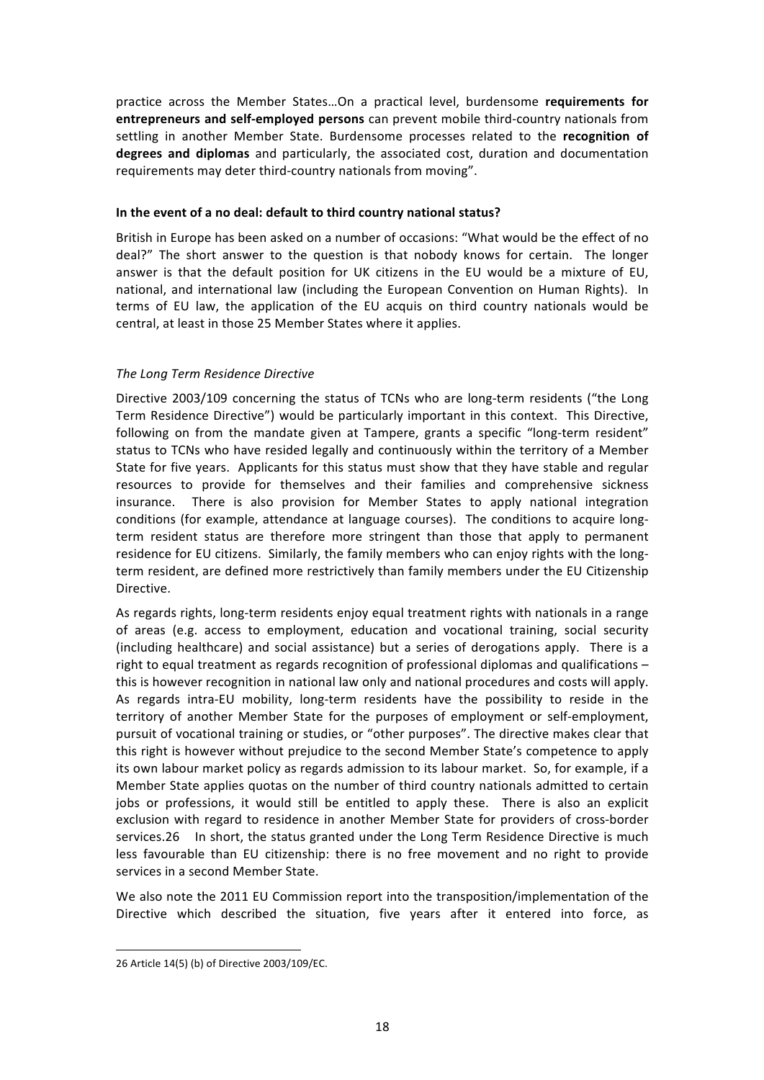practice across the Member States…On a practical level, burdensome **requirements for entrepreneurs and self-employed persons** can prevent mobile third-country nationals from settling in another Member State. Burdensome processes related to the **recognition of degrees and diplomas** and particularly, the associated cost, duration and documentation requirements may deter third-country nationals from moving".

#### **In the event of a no deal: default to third country national status?**

British in Europe has been asked on a number of occasions: "What would be the effect of no deal?" The short answer to the question is that nobody knows for certain. The longer answer is that the default position for UK citizens in the EU would be a mixture of EU, national, and international law (including the European Convention on Human Rights). In terms of EU law, the application of the EU acquis on third country nationals would be central, at least in those 25 Member States where it applies.

## *The Long Term Residence Directive*

Directive 2003/109 concerning the status of TCNs who are long-term residents ("the Long Term Residence Directive") would be particularly important in this context. This Directive, following on from the mandate given at Tampere, grants a specific "long-term resident" status to TCNs who have resided legally and continuously within the territory of a Member State for five years. Applicants for this status must show that they have stable and regular resources to provide for themselves and their families and comprehensive sickness insurance. There is also provision for Member States to apply national integration conditions (for example, attendance at language courses). The conditions to acquire longterm resident status are therefore more stringent than those that apply to permanent residence for EU citizens. Similarly, the family members who can enjoy rights with the longterm resident, are defined more restrictively than family members under the EU Citizenship Directive.

As regards rights, long-term residents enjoy equal treatment rights with nationals in a range of areas (e.g. access to employment, education and vocational training, social security (including healthcare) and social assistance) but a series of derogations apply. There is a right to equal treatment as regards recognition of professional diplomas and qualifications – this is however recognition in national law only and national procedures and costs will apply. As regards intra-EU mobility, long-term residents have the possibility to reside in the territory of another Member State for the purposes of employment or self-employment, pursuit of vocational training or studies, or "other purposes". The directive makes clear that this right is however without prejudice to the second Member State's competence to apply its own labour market policy as regards admission to its labour market. So, for example, if a Member State applies quotas on the number of third country nationals admitted to certain jobs or professions, it would still be entitled to apply these. There is also an explicit exclusion with regard to residence in another Member State for providers of cross-border services.26 In short, the status granted under the Long Term Residence Directive is much less favourable than EU citizenship: there is no free movement and no right to provide services in a second Member State.

We also note the 2011 EU Commission report into the transposition/implementation of the Directive which described the situation, five years after it entered into force, as

 $\overline{a}$ 26 Article 14(5) (b) of Directive 2003/109/EC.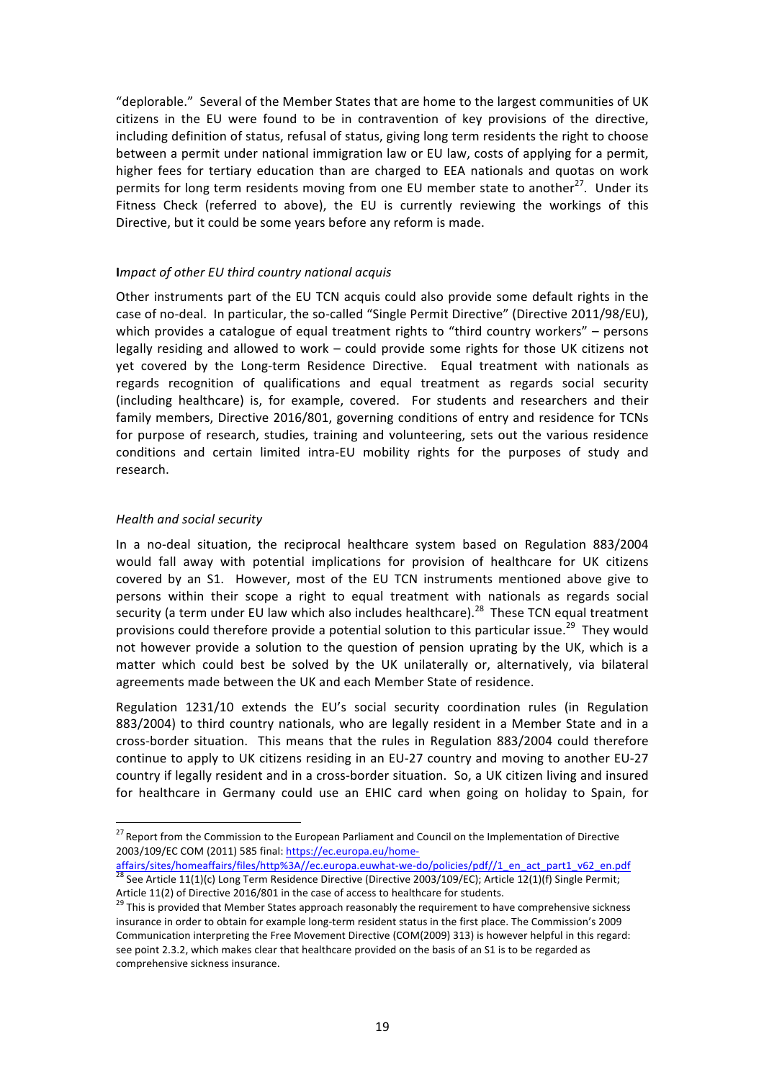"deplorable." Several of the Member States that are home to the largest communities of UK citizens in the EU were found to be in contravention of key provisions of the directive, including definition of status, refusal of status, giving long term residents the right to choose between a permit under national immigration law or EU law, costs of applying for a permit, higher fees for tertiary education than are charged to EEA nationals and quotas on work permits for long term residents moving from one EU member state to another<sup>27</sup>. Under its Fitness Check (referred to above), the EU is currently reviewing the workings of this Directive, but it could be some years before any reform is made.

### **I***mpact of other EU third country national acquis*

Other instruments part of the EU TCN acquis could also provide some default rights in the case of no-deal. In particular, the so-called "Single Permit Directive" (Directive 2011/98/EU), which provides a catalogue of equal treatment rights to "third country workers" – persons legally residing and allowed to work – could provide some rights for those UK citizens not yet covered by the Long-term Residence Directive. Equal treatment with nationals as regards recognition of qualifications and equal treatment as regards social security (including healthcare) is, for example, covered. For students and researchers and their family members, Directive 2016/801, governing conditions of entry and residence for TCNs for purpose of research, studies, training and volunteering, sets out the various residence conditions and certain limited intra-EU mobility rights for the purposes of study and research.

## *Health and social security*

In a no-deal situation, the reciprocal healthcare system based on Regulation 883/2004 would fall away with potential implications for provision of healthcare for UK citizens covered by an S1. However, most of the EU TCN instruments mentioned above give to persons within their scope a right to equal treatment with nationals as regards social security (a term under EU law which also includes healthcare).<sup>28</sup> These TCN equal treatment provisions could therefore provide a potential solution to this particular issue.<sup>29</sup> They would not however provide a solution to the question of pension uprating by the UK, which is a matter which could best be solved by the UK unilaterally or, alternatively, via bilateral agreements made between the UK and each Member State of residence. 

Regulation 1231/10 extends the EU's social security coordination rules (in Regulation 883/2004) to third country nationals, who are legally resident in a Member State and in a cross-border situation. This means that the rules in Regulation 883/2004 could therefore continue to apply to UK citizens residing in an EU-27 country and moving to another EU-27 country if legally resident and in a cross-border situation. So, a UK citizen living and insured for healthcare in Germany could use an EHIC card when going on holiday to Spain, for

<sup>&</sup>lt;sup>27</sup> Report from the Commission to the European Parliament and Council on the Implementation of Directive 2003/109/EC COM (2011) 585 final: https://ec.europa.eu/home-

affairs/sites/homeaffairs/files/http%3A//ec.europa.euwhat-we-do/policies/pdf//1\_en\_act\_part1\_v62\_en.pdf <sup>28</sup> See Article 11(1)(c) Long Term Residence Directive (Directive 2003/109/EC); Article 12(1)(f) Single Permit;

Article 11(2) of Directive 2016/801 in the case of access to healthcare for students.<br><sup>29</sup> This is provided that Member States approach reasonably the requirement to have comprehensive sickness insurance in order to obtain for example long-term resident status in the first place. The Commission's 2009 Communication interpreting the Free Movement Directive (COM(2009) 313) is however helpful in this regard: see point 2.3.2, which makes clear that healthcare provided on the basis of an S1 is to be regarded as comprehensive sickness insurance.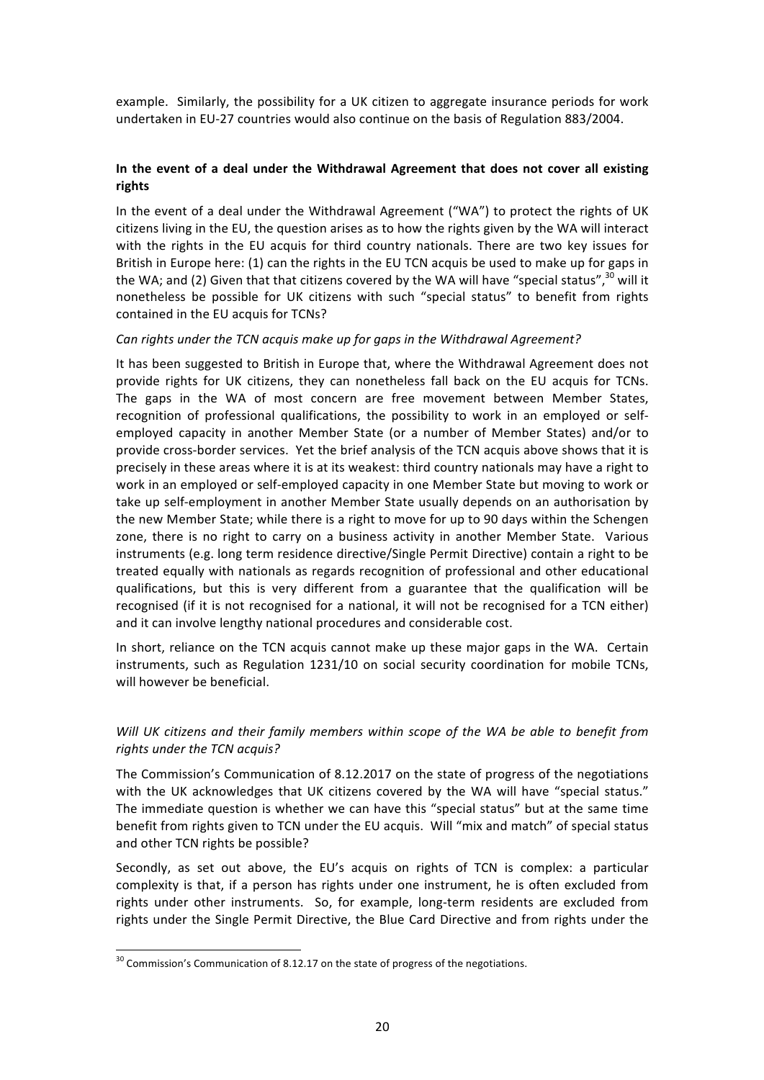example. Similarly, the possibility for a UK citizen to aggregate insurance periods for work undertaken in EU-27 countries would also continue on the basis of Regulation 883/2004.

# **In the event of a deal under the Withdrawal Agreement that does not cover all existing rights**

In the event of a deal under the Withdrawal Agreement ("WA") to protect the rights of UK citizens living in the EU, the question arises as to how the rights given by the WA will interact with the rights in the EU acquis for third country nationals. There are two key issues for British in Europe here: (1) can the rights in the EU TCN acquis be used to make up for gaps in the WA; and (2) Given that that citizens covered by the WA will have "special status", $30$  will it nonetheless be possible for UK citizens with such "special status" to benefit from rights contained in the EU acquis for TCNs?

### *Can rights under the TCN acquis make up for gaps in the Withdrawal Agreement?*

It has been suggested to British in Europe that, where the Withdrawal Agreement does not provide rights for UK citizens, they can nonetheless fall back on the EU acquis for TCNs. The gaps in the WA of most concern are free movement between Member States, recognition of professional qualifications, the possibility to work in an employed or selfemployed capacity in another Member State (or a number of Member States) and/or to provide cross-border services. Yet the brief analysis of the TCN acquis above shows that it is precisely in these areas where it is at its weakest: third country nationals may have a right to work in an employed or self-employed capacity in one Member State but moving to work or take up self-employment in another Member State usually depends on an authorisation by the new Member State; while there is a right to move for up to 90 days within the Schengen zone, there is no right to carry on a business activity in another Member State. Various instruments (e.g. long term residence directive/Single Permit Directive) contain a right to be treated equally with nationals as regards recognition of professional and other educational qualifications, but this is very different from a guarantee that the qualification will be recognised (if it is not recognised for a national, it will not be recognised for a TCN either) and it can involve lengthy national procedures and considerable cost.

In short, reliance on the TCN acquis cannot make up these major gaps in the WA. Certain instruments, such as Regulation 1231/10 on social security coordination for mobile TCNs, will however be beneficial.

# *Will UK citizens and their family members within scope of the WA be able to benefit from rights under the TCN acquis?*

The Commission's Communication of 8.12.2017 on the state of progress of the negotiations with the UK acknowledges that UK citizens covered by the WA will have "special status." The immediate question is whether we can have this "special status" but at the same time benefit from rights given to TCN under the EU acquis. Will "mix and match" of special status and other TCN rights be possible?

Secondly, as set out above, the EU's acquis on rights of TCN is complex: a particular complexity is that, if a person has rights under one instrument, he is often excluded from rights under other instruments. So, for example, long-term residents are excluded from rights under the Single Permit Directive, the Blue Card Directive and from rights under the

 $30$  Commission's Communication of 8.12.17 on the state of progress of the negotiations.